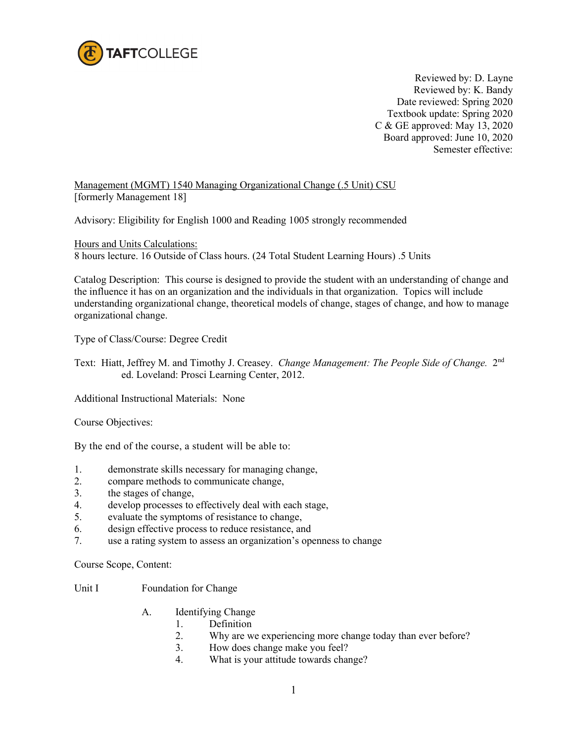

Reviewed by: D. Layne Reviewed by: K. Bandy Date reviewed: Spring 2020 Textbook update: Spring 2020 C & GE approved: May 13, 2020 Board approved: June 10, 2020 Semester effective:

Management (MGMT) 1540 Managing Organizational Change (.5 Unit) CSU [formerly Management 18]

Advisory: Eligibility for English 1000 and Reading 1005 strongly recommended

Hours and Units Calculations: 8 hours lecture. 16 Outside of Class hours. (24 Total Student Learning Hours) .5 Units

Catalog Description: This course is designed to provide the student with an understanding of change and the influence it has on an organization and the individuals in that organization. Topics will include understanding organizational change, theoretical models of change, stages of change, and how to manage organizational change.

Type of Class/Course: Degree Credit

Text: Hiatt, Jeffrey M. and Timothy J. Creasey. *Change Management: The People Side of Change.* 2nd ed. Loveland: Prosci Learning Center, 2012.

Additional Instructional Materials: None

Course Objectives:

By the end of the course, a student will be able to:

- 1. demonstrate skills necessary for managing change,
- 2. compare methods to communicate change,
- 3. the stages of change,
- 4. develop processes to effectively deal with each stage,
- 5. evaluate the symptoms of resistance to change,
- 6. design effective process to reduce resistance, and
- 7. use a rating system to assess an organization's openness to change

Course Scope, Content:

## Unit I Foundation for Change

- A. Identifying Change
	- 1. Definition
	- 2. Why are we experiencing more change today than ever before?
	- 3. How does change make you feel?
	- 4. What is your attitude towards change?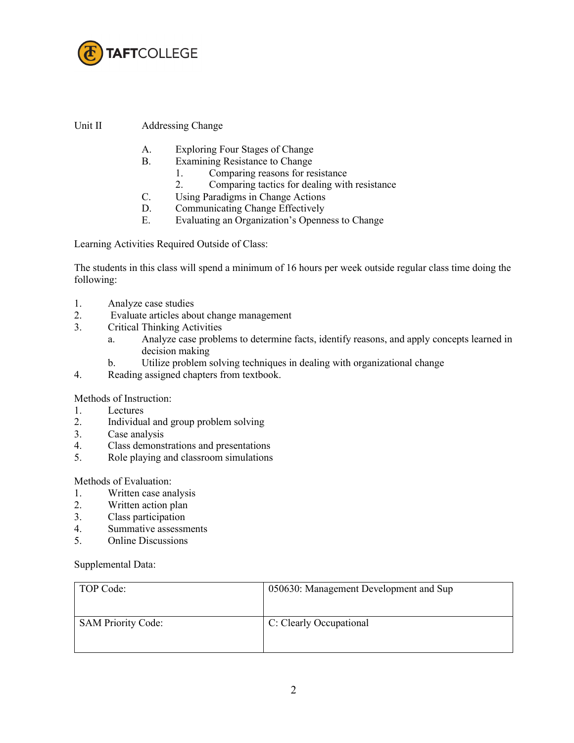

Unit II Addressing Change

- A. Exploring Four Stages of Change
- B. Examining Resistance to Change
	- 1. Comparing reasons for resistance
	- 2. Comparing tactics for dealing with resistance
- C. Using Paradigms in Change Actions
- D. Communicating Change Effectively
- E. Evaluating an Organization's Openness to Change

Learning Activities Required Outside of Class:

The students in this class will spend a minimum of 16 hours per week outside regular class time doing the following:

- 1. Analyze case studies
- 2. Evaluate articles about change management
- 3. Critical Thinking Activities
	- a. Analyze case problems to determine facts, identify reasons, and apply concepts learned in decision making
	- b. Utilize problem solving techniques in dealing with organizational change
- 4. Reading assigned chapters from textbook.

Methods of Instruction:

- 1. Lectures
- 2. Individual and group problem solving
- 3. Case analysis<br>4. Class demons
- Class demonstrations and presentations
- 5. Role playing and classroom simulations

Methods of Evaluation:

- 1. Written case analysis
- 2. Written action plan
- 3. Class participation<br>4. Summative assessment
- Summative assessments
- 5. Online Discussions

Supplemental Data:

| TOP Code:                 | 050630: Management Development and Sup |
|---------------------------|----------------------------------------|
| <b>SAM Priority Code:</b> | C: Clearly Occupational                |